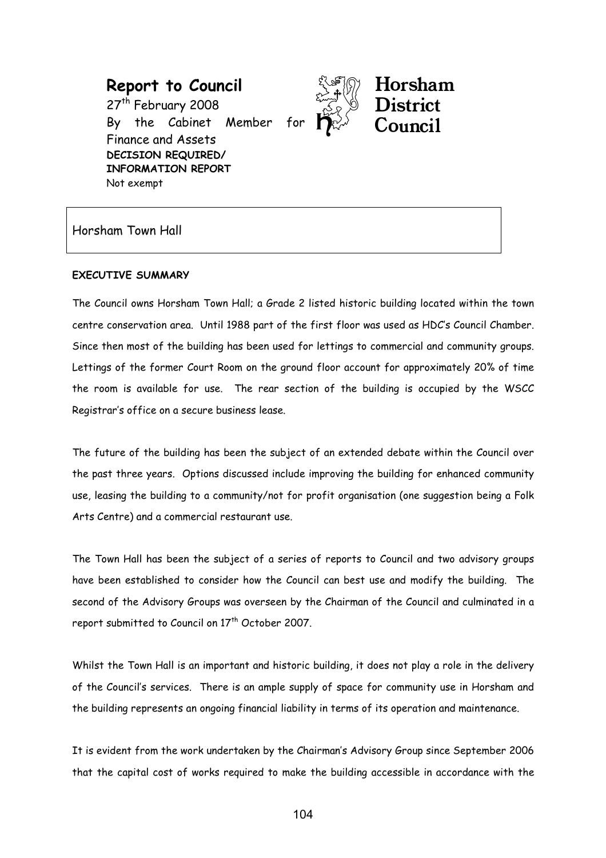Report to Council 27<sup>th</sup> February 2008 By the Cabinet Member Finance and Assets DECISION REQUIRED/ INFORMATION REPORT Not exempt



Horsham

Horsham Town Hall

### EXECUTIVE SUMMARY

The Council owns Horsham Town Hall; a Grade 2 listed historic building located within the town centre conservation area. Until 1988 part of the first floor was used as HDC's Council Chamber. Since then most of the building has been used for lettings to commercial and community groups. Lettings of the former Court Room on the ground floor account for approximately 20% of time the room is available for use. The rear section of the building is occupied by the WSCC Registrar's office on a secure business lease.

The future of the building has been the subject of an extended debate within the Council over the past three years. Options discussed include improving the building for enhanced community use, leasing the building to a community/not for profit organisation (one suggestion being a Folk Arts Centre) and a commercial restaurant use.

The Town Hall has been the subject of a series of reports to Council and two advisory groups have been established to consider how the Council can best use and modify the building. The second of the Advisory Groups was overseen by the Chairman of the Council and culminated in a report submitted to Council on 17<sup>th</sup> October 2007.

Whilst the Town Hall is an important and historic building, it does not play a role in the delivery of the Council's services. There is an ample supply of space for community use in Horsham and the building represents an ongoing financial liability in terms of its operation and maintenance.

It is evident from the work undertaken by the Chairman's Advisory Group since September 2006 that the capital cost of works required to make the building accessible in accordance with the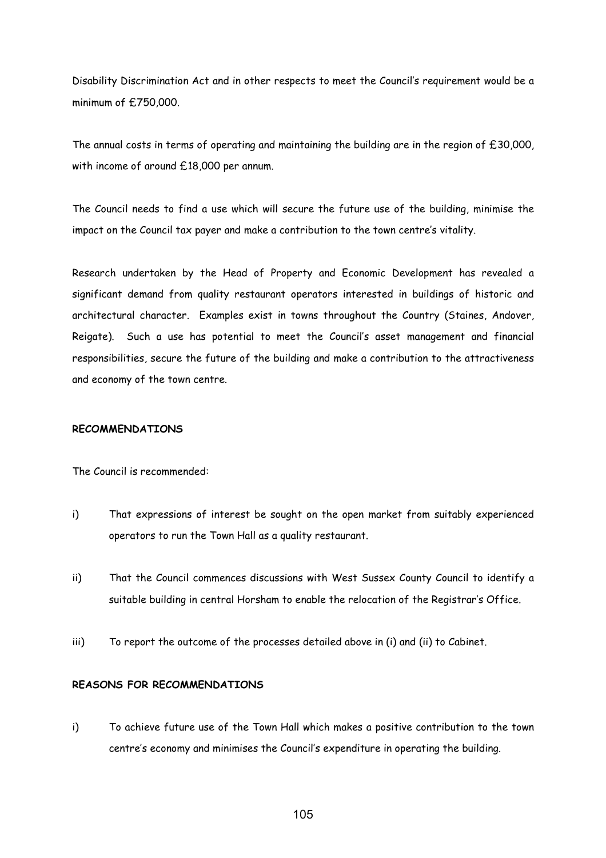Disability Discrimination Act and in other respects to meet the Council's requirement would be a minimum of £750,000.

The annual costs in terms of operating and maintaining the building are in the region of £30,000, with income of around £18,000 per annum.

The Council needs to find a use which will secure the future use of the building, minimise the impact on the Council tax payer and make a contribution to the town centre's vitality.

Research undertaken by the Head of Property and Economic Development has revealed a significant demand from quality restaurant operators interested in buildings of historic and architectural character. Examples exist in towns throughout the Country (Staines, Andover, Reigate). Such a use has potential to meet the Council's asset management and financial responsibilities, secure the future of the building and make a contribution to the attractiveness and economy of the town centre.

#### RECOMMENDATIONS

The Council is recommended:

- i) That expressions of interest be sought on the open market from suitably experienced operators to run the Town Hall as a quality restaurant.
- ii) That the Council commences discussions with West Sussex County Council to identify a suitable building in central Horsham to enable the relocation of the Registrar's Office.
- iii) To report the outcome of the processes detailed above in (i) and (ii) to Cabinet.

### REASONS FOR RECOMMENDATIONS

i) To achieve future use of the Town Hall which makes a positive contribution to the town centre's economy and minimises the Council's expenditure in operating the building.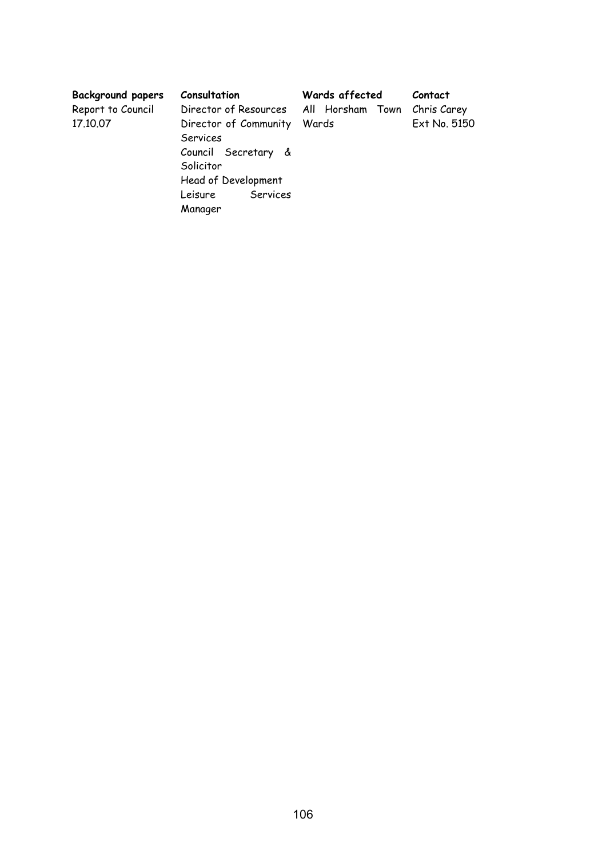| <b>Background papers</b><br>Report to Council<br>17.10.07 | Consultation<br>Director of Resources All Horsham Town<br>Director of Community<br>Services<br>Council Secretary &<br>Solicitor<br>Head of Development<br>Services<br>Leisure<br>Manager | Wards affected<br>Wards | Contact<br>Chris Carey<br>Ext No. 5150 |
|-----------------------------------------------------------|------------------------------------------------------------------------------------------------------------------------------------------------------------------------------------------|-------------------------|----------------------------------------|
|-----------------------------------------------------------|------------------------------------------------------------------------------------------------------------------------------------------------------------------------------------------|-------------------------|----------------------------------------|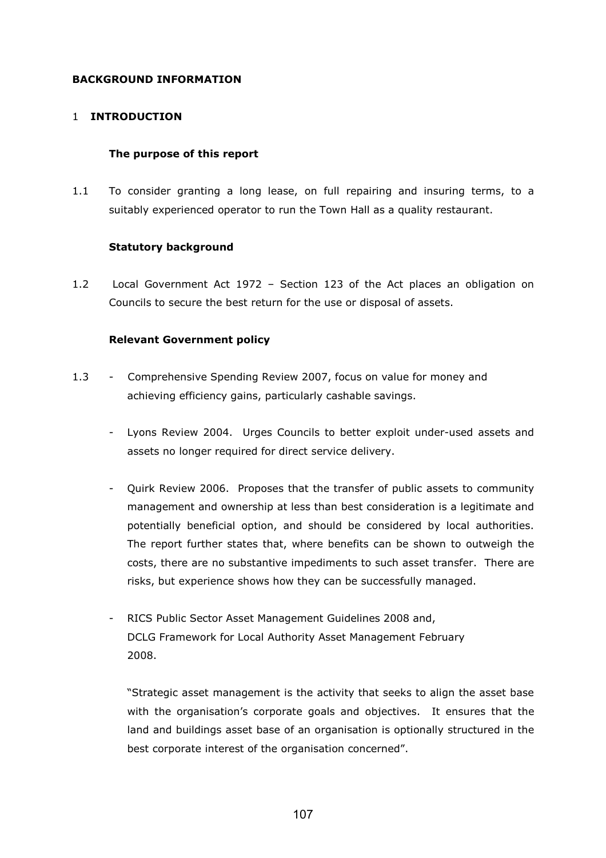## BACKGROUND INFORMATION

### 1 INTRODUCTION

### The purpose of this report

1.1 To consider granting a long lease, on full repairing and insuring terms, to a suitably experienced operator to run the Town Hall as a quality restaurant.

### Statutory background

1.2 Local Government Act 1972 – Section 123 of the Act places an obligation on Councils to secure the best return for the use or disposal of assets.

### Relevant Government policy

- 1.3 Comprehensive Spending Review 2007, focus on value for money and achieving efficiency gains, particularly cashable savings.
	- Lyons Review 2004. Urges Councils to better exploit under-used assets and assets no longer required for direct service delivery.
	- Quirk Review 2006. Proposes that the transfer of public assets to community management and ownership at less than best consideration is a legitimate and potentially beneficial option, and should be considered by local authorities. The report further states that, where benefits can be shown to outweigh the costs, there are no substantive impediments to such asset transfer. There are risks, but experience shows how they can be successfully managed.
	- RICS Public Sector Asset Management Guidelines 2008 and, DCLG Framework for Local Authority Asset Management February 2008.

"Strategic asset management is the activity that seeks to align the asset base with the organisation's corporate goals and objectives. It ensures that the land and buildings asset base of an organisation is optionally structured in the best corporate interest of the organisation concerned".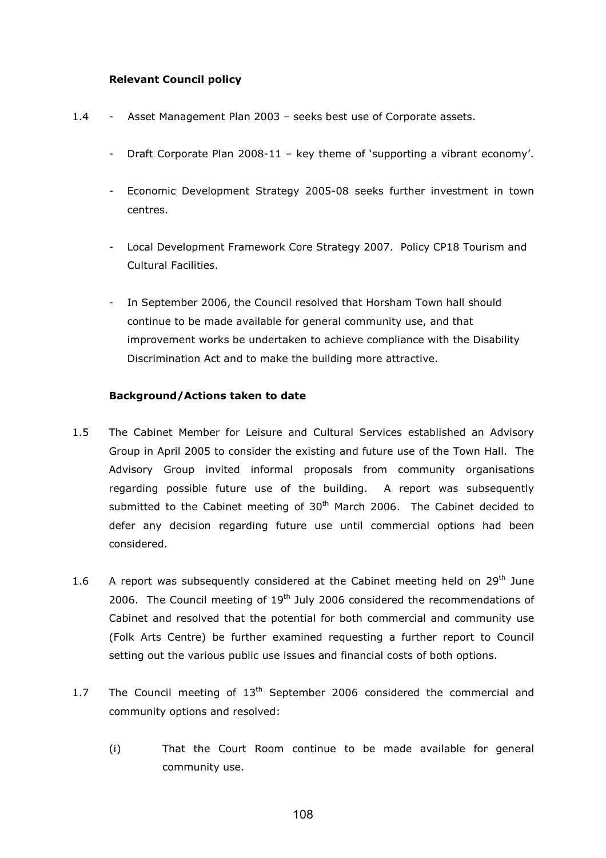### Relevant Council policy

- 1.4 Asset Management Plan 2003 seeks best use of Corporate assets.
	- Draft Corporate Plan 2008-11 key theme of 'supporting a vibrant economy'.
	- Economic Development Strategy 2005-08 seeks further investment in town centres.
	- Local Development Framework Core Strategy 2007. Policy CP18 Tourism and Cultural Facilities.
	- In September 2006, the Council resolved that Horsham Town hall should continue to be made available for general community use, and that improvement works be undertaken to achieve compliance with the Disability Discrimination Act and to make the building more attractive.

### Background/Actions taken to date

- 1.5 The Cabinet Member for Leisure and Cultural Services established an Advisory Group in April 2005 to consider the existing and future use of the Town Hall. The Advisory Group invited informal proposals from community organisations regarding possible future use of the building. A report was subsequently submitted to the Cabinet meeting of  $30<sup>th</sup>$  March 2006. The Cabinet decided to defer any decision regarding future use until commercial options had been considered.
- 1.6 A report was subsequently considered at the Cabinet meeting held on  $29<sup>th</sup>$  June 2006. The Council meeting of  $19<sup>th</sup>$  July 2006 considered the recommendations of Cabinet and resolved that the potential for both commercial and community use (Folk Arts Centre) be further examined requesting a further report to Council setting out the various public use issues and financial costs of both options.
- 1.7 The Council meeting of  $13<sup>th</sup>$  September 2006 considered the commercial and community options and resolved:
	- (i) That the Court Room continue to be made available for general community use.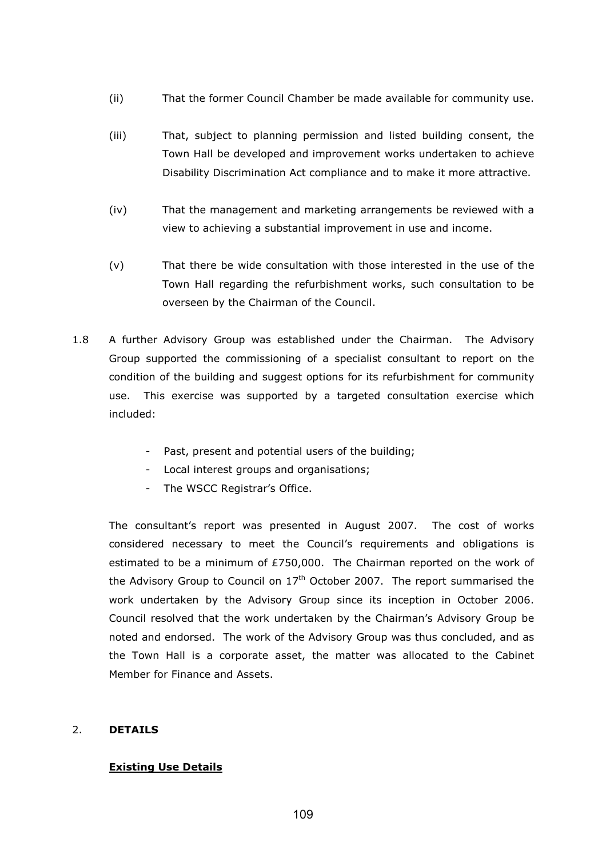- (ii) That the former Council Chamber be made available for community use.
- (iii) That, subject to planning permission and listed building consent, the Town Hall be developed and improvement works undertaken to achieve Disability Discrimination Act compliance and to make it more attractive.
- (iv) That the management and marketing arrangements be reviewed with a view to achieving a substantial improvement in use and income.
- (v) That there be wide consultation with those interested in the use of the Town Hall regarding the refurbishment works, such consultation to be overseen by the Chairman of the Council.
- 1.8 A further Advisory Group was established under the Chairman. The Advisory Group supported the commissioning of a specialist consultant to report on the condition of the building and suggest options for its refurbishment for community use. This exercise was supported by a targeted consultation exercise which included:
	- Past, present and potential users of the building;
	- Local interest groups and organisations;
	- The WSCC Registrar's Office.

The consultant's report was presented in August 2007. The cost of works considered necessary to meet the Council's requirements and obligations is estimated to be a minimum of £750,000. The Chairman reported on the work of the Advisory Group to Council on  $17<sup>th</sup>$  October 2007. The report summarised the work undertaken by the Advisory Group since its inception in October 2006. Council resolved that the work undertaken by the Chairman's Advisory Group be noted and endorsed. The work of the Advisory Group was thus concluded, and as the Town Hall is a corporate asset, the matter was allocated to the Cabinet Member for Finance and Assets.

### 2. DETAILS

## Existing Use Details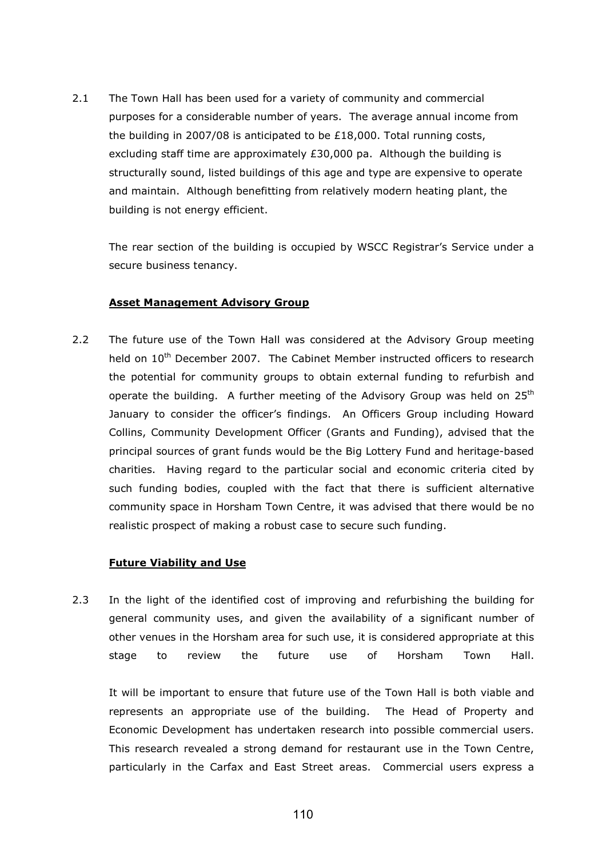2.1 The Town Hall has been used for a variety of community and commercial purposes for a considerable number of years. The average annual income from the building in 2007/08 is anticipated to be £18,000. Total running costs, excluding staff time are approximately  $£30,000$  pa. Although the building is structurally sound, listed buildings of this age and type are expensive to operate and maintain. Although benefitting from relatively modern heating plant, the building is not energy efficient.

 The rear section of the building is occupied by WSCC Registrar's Service under a secure business tenancy.

## Asset Management Advisory Group

2.2 The future use of the Town Hall was considered at the Advisory Group meeting held on 10<sup>th</sup> December 2007. The Cabinet Member instructed officers to research the potential for community groups to obtain external funding to refurbish and operate the building. A further meeting of the Advisory Group was held on  $25<sup>th</sup>$ January to consider the officer's findings. An Officers Group including Howard Collins, Community Development Officer (Grants and Funding), advised that the principal sources of grant funds would be the Big Lottery Fund and heritage-based charities. Having regard to the particular social and economic criteria cited by such funding bodies, coupled with the fact that there is sufficient alternative community space in Horsham Town Centre, it was advised that there would be no realistic prospect of making a robust case to secure such funding.

## Future Viability and Use

2.3 In the light of the identified cost of improving and refurbishing the building for general community uses, and given the availability of a significant number of other venues in the Horsham area for such use, it is considered appropriate at this stage to review the future use of Horsham Town Hall.

It will be important to ensure that future use of the Town Hall is both viable and represents an appropriate use of the building. The Head of Property and Economic Development has undertaken research into possible commercial users. This research revealed a strong demand for restaurant use in the Town Centre, particularly in the Carfax and East Street areas. Commercial users express a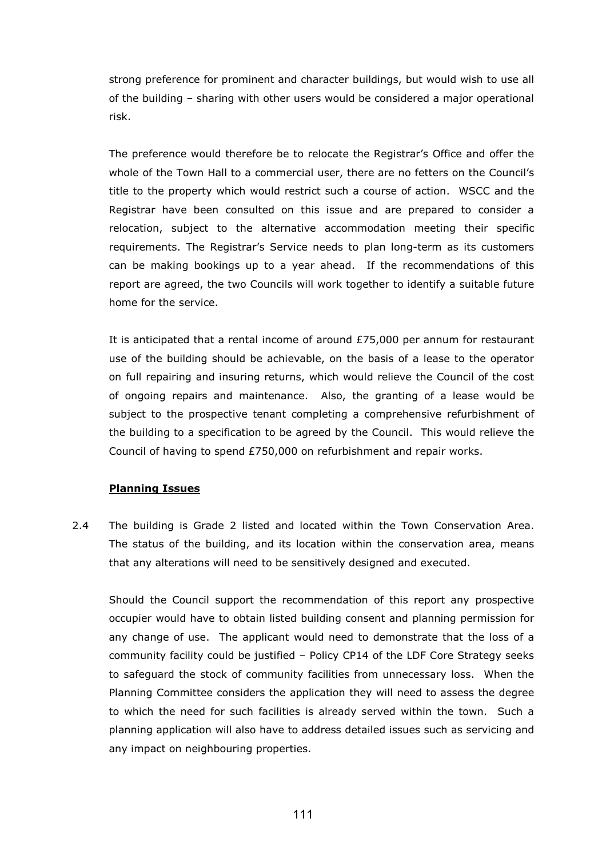strong preference for prominent and character buildings, but would wish to use all of the building – sharing with other users would be considered a major operational risk.

 The preference would therefore be to relocate the Registrar's Office and offer the whole of the Town Hall to a commercial user, there are no fetters on the Council's title to the property which would restrict such a course of action. WSCC and the Registrar have been consulted on this issue and are prepared to consider a relocation, subject to the alternative accommodation meeting their specific requirements. The Registrar's Service needs to plan long-term as its customers can be making bookings up to a year ahead. If the recommendations of this report are agreed, the two Councils will work together to identify a suitable future home for the service.

 It is anticipated that a rental income of around £75,000 per annum for restaurant use of the building should be achievable, on the basis of a lease to the operator on full repairing and insuring returns, which would relieve the Council of the cost of ongoing repairs and maintenance. Also, the granting of a lease would be subject to the prospective tenant completing a comprehensive refurbishment of the building to a specification to be agreed by the Council. This would relieve the Council of having to spend £750,000 on refurbishment and repair works.

## Planning Issues

2.4 The building is Grade 2 listed and located within the Town Conservation Area. The status of the building, and its location within the conservation area, means that any alterations will need to be sensitively designed and executed.

 Should the Council support the recommendation of this report any prospective occupier would have to obtain listed building consent and planning permission for any change of use. The applicant would need to demonstrate that the loss of a community facility could be justified – Policy CP14 of the LDF Core Strategy seeks to safeguard the stock of community facilities from unnecessary loss. When the Planning Committee considers the application they will need to assess the degree to which the need for such facilities is already served within the town. Such a planning application will also have to address detailed issues such as servicing and any impact on neighbouring properties.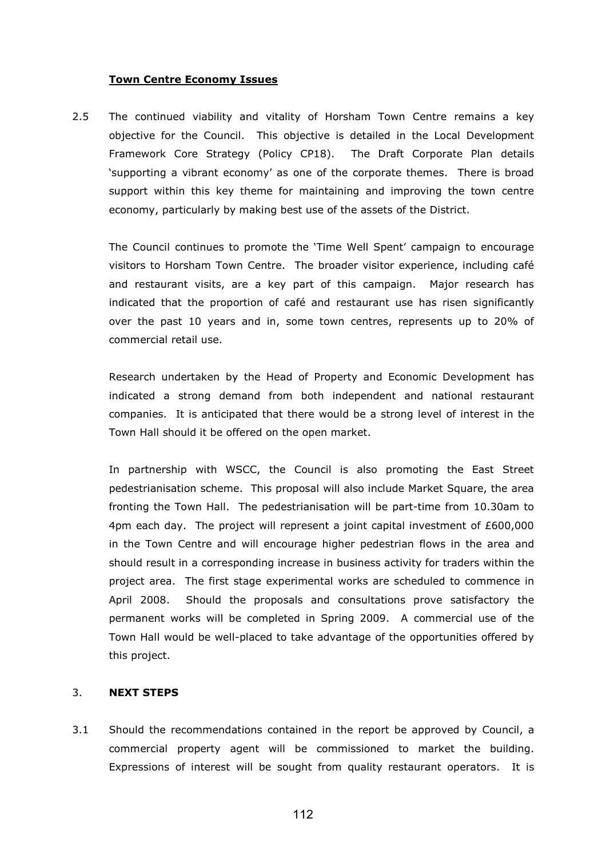### Town Centre Economy Issues

2.5 The continued viability and vitality of Horsham Town Centre remains a key objective for the Council. This objective is detailed in the Local Development Framework Core Strategy (Policy CP18). The Draft Corporate Plan details 'supporting a vibrant economy' as one of the corporate themes. There is broad support within this key theme for maintaining and improving the town centre economy, particularly by making best use of the assets of the District.

 The Council continues to promote the 'Time Well Spent' campaign to encourage visitors to Horsham Town Centre. The broader visitor experience, including café and restaurant visits, are a key part of this campaign. Major research has indicated that the proportion of café and restaurant use has risen significantly over the past 10 years and in, some town centres, represents up to 20% of commercial retail use.

 Research undertaken by the Head of Property and Economic Development has indicated a strong demand from both independent and national restaurant companies. It is anticipated that there would be a strong level of interest in the Town Hall should it be offered on the open market.

 In partnership with WSCC, the Council is also promoting the East Street pedestrianisation scheme. This proposal will also include Market Square, the area fronting the Town Hall. The pedestrianisation will be part-time from 10.30am to 4pm each day. The project will represent a joint capital investment of £600,000 in the Town Centre and will encourage higher pedestrian flows in the area and should result in a corresponding increase in business activity for traders within the project area. The first stage experimental works are scheduled to commence in April 2008. Should the proposals and consultations prove satisfactory the permanent works will be completed in Spring 2009. A commercial use of the Town Hall would be well-placed to take advantage of the opportunities offered by this project.

## 3. NEXT STEPS

3.1 Should the recommendations contained in the report be approved by Council, a commercial property agent will be commissioned to market the building. Expressions of interest will be sought from quality restaurant operators. It is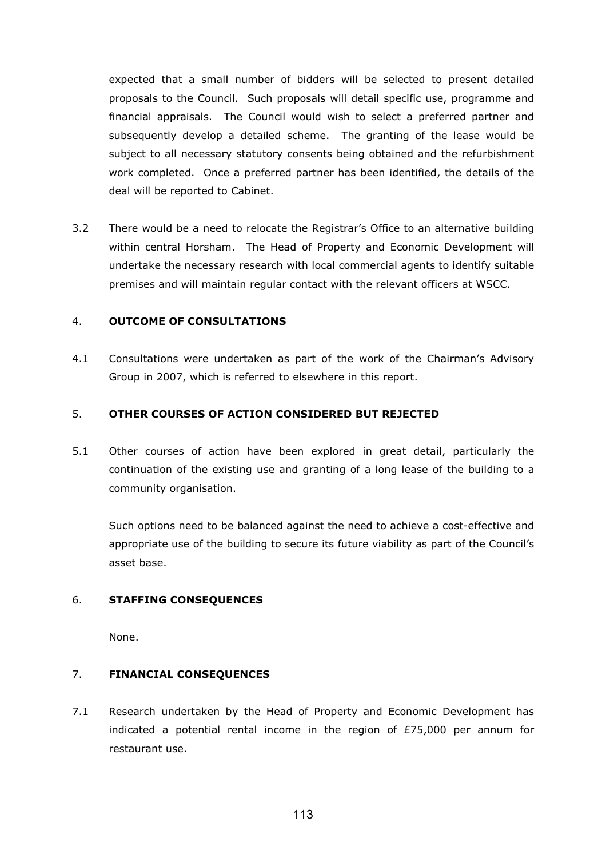expected that a small number of bidders will be selected to present detailed proposals to the Council. Such proposals will detail specific use, programme and financial appraisals. The Council would wish to select a preferred partner and subsequently develop a detailed scheme. The granting of the lease would be subject to all necessary statutory consents being obtained and the refurbishment work completed. Once a preferred partner has been identified, the details of the deal will be reported to Cabinet.

3.2 There would be a need to relocate the Registrar's Office to an alternative building within central Horsham. The Head of Property and Economic Development will undertake the necessary research with local commercial agents to identify suitable premises and will maintain regular contact with the relevant officers at WSCC.

### 4. OUTCOME OF CONSULTATIONS

4.1 Consultations were undertaken as part of the work of the Chairman's Advisory Group in 2007, which is referred to elsewhere in this report.

### 5. OTHER COURSES OF ACTION CONSIDERED BUT REJECTED

5.1 Other courses of action have been explored in great detail, particularly the continuation of the existing use and granting of a long lease of the building to a community organisation.

Such options need to be balanced against the need to achieve a cost-effective and appropriate use of the building to secure its future viability as part of the Council's asset base.

### 6. STAFFING CONSEQUENCES

None.

## 7. FINANCIAL CONSEQUENCES

7.1 Research undertaken by the Head of Property and Economic Development has indicated a potential rental income in the region of £75,000 per annum for restaurant use.